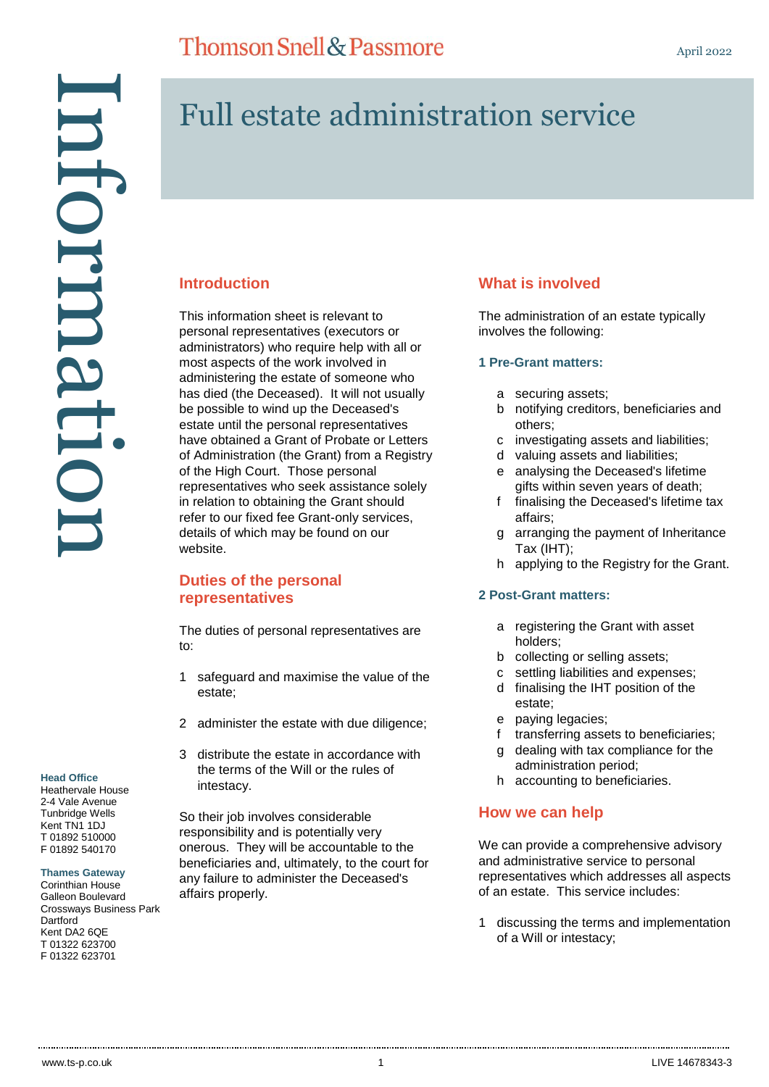# Full estate administration service

# **Introduction**

This information sheet is relevant to personal representatives (executors or administrators) who require help with all or most aspects of the work involved in administering the estate of someone who has died (the Deceased). It will not usually be possible to wind up the Deceased's estate until the personal representatives have obtained a Grant of Probate or Letters of Administration (the Grant) from a Registry of the High Court. Those personal representatives who seek assistance solely in relation to obtaining the Grant should refer to our fixed fee Grant-only services, details of which may be found on our website.

# **Duties of the personal representatives**

The duties of personal representatives are to:

- 1 safeguard and maximise the value of the estate;
- 2 administer the estate with due diligence;
- 3 distribute the estate in accordance with the terms of the Will or the rules of intestacy.

So their job involves considerable responsibility and is potentially very onerous. They will be accountable to the beneficiaries and, ultimately, to the court for any failure to administer the Deceased's affairs properly.

# **What is involved**

The administration of an estate typically involves the following:

## **1 Pre-Grant matters:**

- a securing assets;
- b notifying creditors, beneficiaries and others;
- c investigating assets and liabilities;
- d valuing assets and liabilities;
- e analysing the Deceased's lifetime gifts within seven years of death;
- f finalising the Deceased's lifetime tax affairs;
- g arranging the payment of Inheritance Tax (IHT);
- h applying to the Registry for the Grant.

## **2 Post-Grant matters:**

- a registering the Grant with asset holders;
- b collecting or selling assets;
- c settling liabilities and expenses;
- d finalising the IHT position of the estate;
- e paying legacies;
- f transferring assets to beneficiaries;
- g dealing with tax compliance for the administration period;
- h accounting to beneficiaries.

# **How we can help**

We can provide a comprehensive advisory and administrative service to personal representatives which addresses all aspects of an estate. This service includes:

1 discussing the terms and implementation of a Will or intestacy;

#### **Head Office**

Heathervale House 2-4 Vale Avenue Tunbridge Wells Kent TN1 1DJ T 01892 510000 F 01892 540170

#### **Thames Gateway**

Corinthian House Galleon Boulevard Crossways Business Park **Dartford** Kent DA2 6QE T 01322 623700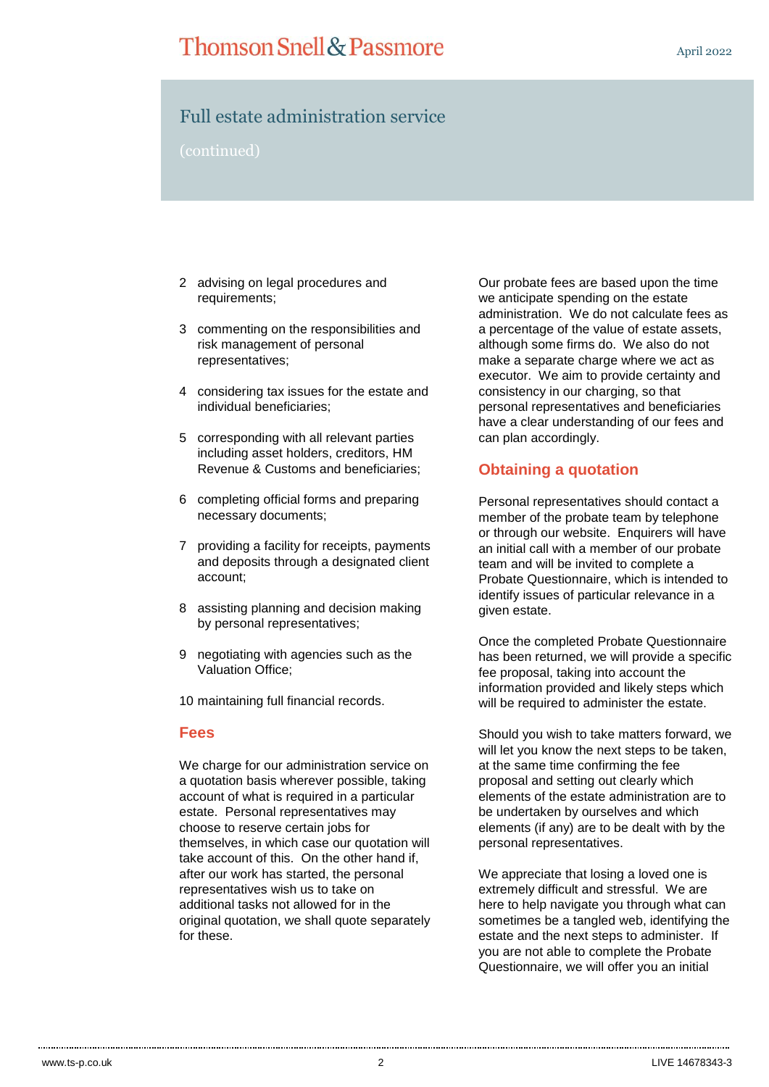# Full estate administration service

- 2 advising on legal procedures and requirements;
- 3 commenting on the responsibilities and risk management of personal representatives;
- 4 considering tax issues for the estate and individual beneficiaries;
- 5 corresponding with all relevant parties including asset holders, creditors, HM Revenue & Customs and beneficiaries;
- 6 completing official forms and preparing necessary documents;
- 7 providing a facility for receipts, payments and deposits through a designated client account;
- 8 assisting planning and decision making by personal representatives;
- 9 negotiating with agencies such as the Valuation Office;

10 maintaining full financial records.

## **Fees**

We charge for our administration service on a quotation basis wherever possible, taking account of what is required in a particular estate. Personal representatives may choose to reserve certain jobs for themselves, in which case our quotation will take account of this. On the other hand if, after our work has started, the personal representatives wish us to take on additional tasks not allowed for in the original quotation, we shall quote separately for these.

Our probate fees are based upon the time we anticipate spending on the estate administration. We do not calculate fees as a percentage of the value of estate assets, although some firms do. We also do not make a separate charge where we act as executor. We aim to provide certainty and consistency in our charging, so that personal representatives and beneficiaries have a clear understanding of our fees and can plan accordingly.

# **Obtaining a quotation**

Personal representatives should contact a member of the probate team by telephone or through our website. Enquirers will have an initial call with a member of our probate team and will be invited to complete a Probate Questionnaire, which is intended to identify issues of particular relevance in a given estate.

Once the completed Probate Questionnaire has been returned, we will provide a specific fee proposal, taking into account the information provided and likely steps which will be required to administer the estate.

Should you wish to take matters forward, we will let you know the next steps to be taken, at the same time confirming the fee proposal and setting out clearly which elements of the estate administration are to be undertaken by ourselves and which elements (if any) are to be dealt with by the personal representatives.

We appreciate that losing a loved one is extremely difficult and stressful. We are here to help navigate you through what can sometimes be a tangled web, identifying the estate and the next steps to administer. If you are not able to complete the Probate Questionnaire, we will offer you an initial